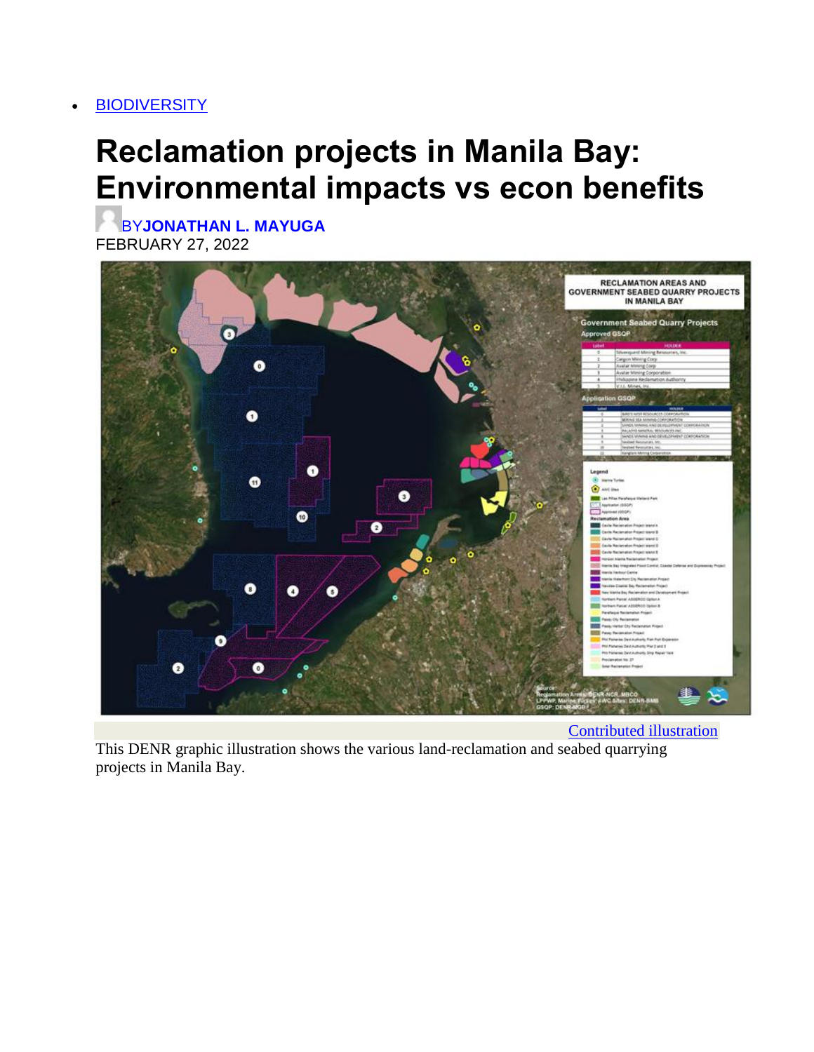#### **[BIODIVERSITY](https://businessmirror.com.ph/category/features/biodiversity/)**

# **Reclamation projects in Manila Bay: Environmental impacts vs econ benefits**

BY**[JONATHAN L. MAYUGA](https://businessmirror.com.ph/author/jonathanmayuga/)** FEBRUARY 27, 2022



This DENR graphic illustration shows the various land-reclamation and seabed quarrying projects in Manila Bay.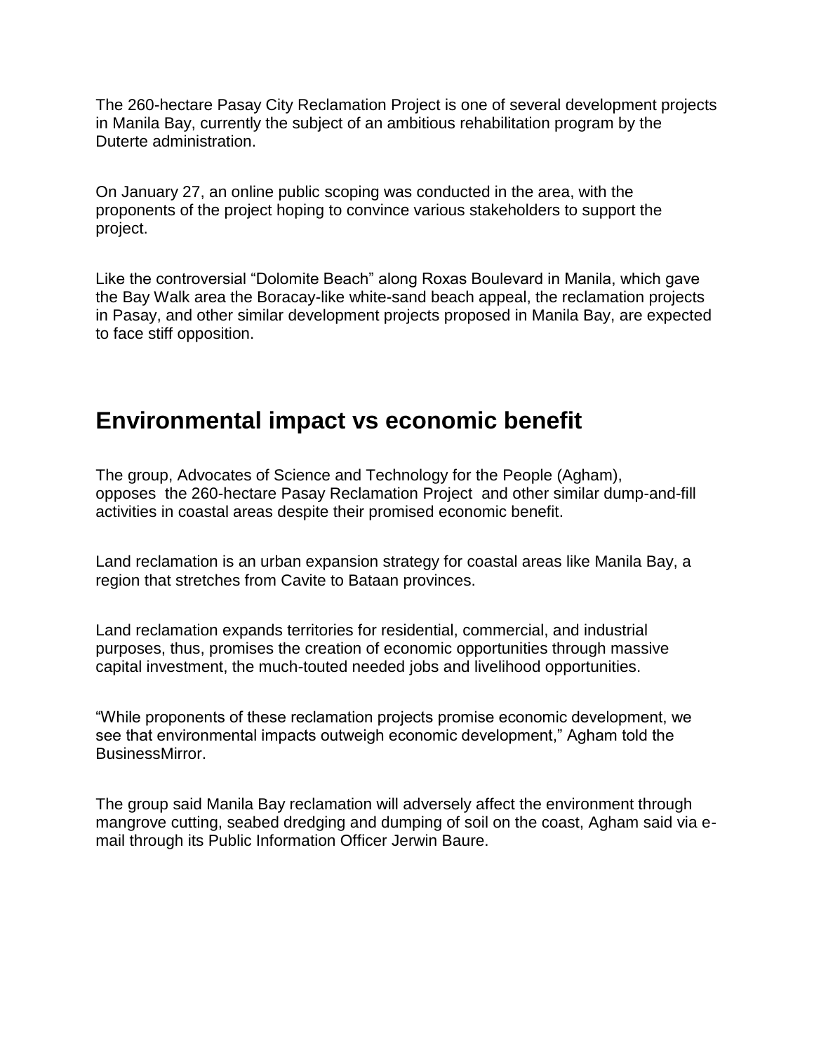The 260-hectare Pasay City Reclamation Project is one of several development projects in Manila Bay, currently the subject of an ambitious rehabilitation program by the Duterte administration.

On January 27, an online public scoping was conducted in the area, with the proponents of the project hoping to convince various stakeholders to support the project.

Like the controversial "Dolomite Beach" along Roxas Boulevard in Manila, which gave the Bay Walk area the Boracay-like white-sand beach appeal, the reclamation projects in Pasay, and other similar development projects proposed in Manila Bay, are expected to face stiff opposition.

#### **Environmental impact vs economic benefit**

The group, Advocates of Science and Technology for the People (Agham), opposes the 260-hectare Pasay Reclamation Project and other similar dump-and-fill activities in coastal areas despite their promised economic benefit.

Land reclamation is an urban expansion strategy for coastal areas like Manila Bay, a region that stretches from Cavite to Bataan provinces.

Land reclamation expands territories for residential, commercial, and industrial purposes, thus, promises the creation of economic opportunities through massive capital investment, the much-touted needed jobs and livelihood opportunities.

"While proponents of these reclamation projects promise economic development, we see that environmental impacts outweigh economic development," Agham told the BusinessMirror.

The group said Manila Bay reclamation will adversely affect the environment through mangrove cutting, seabed dredging and dumping of soil on the coast, Agham said via email through its Public Information Officer Jerwin Baure.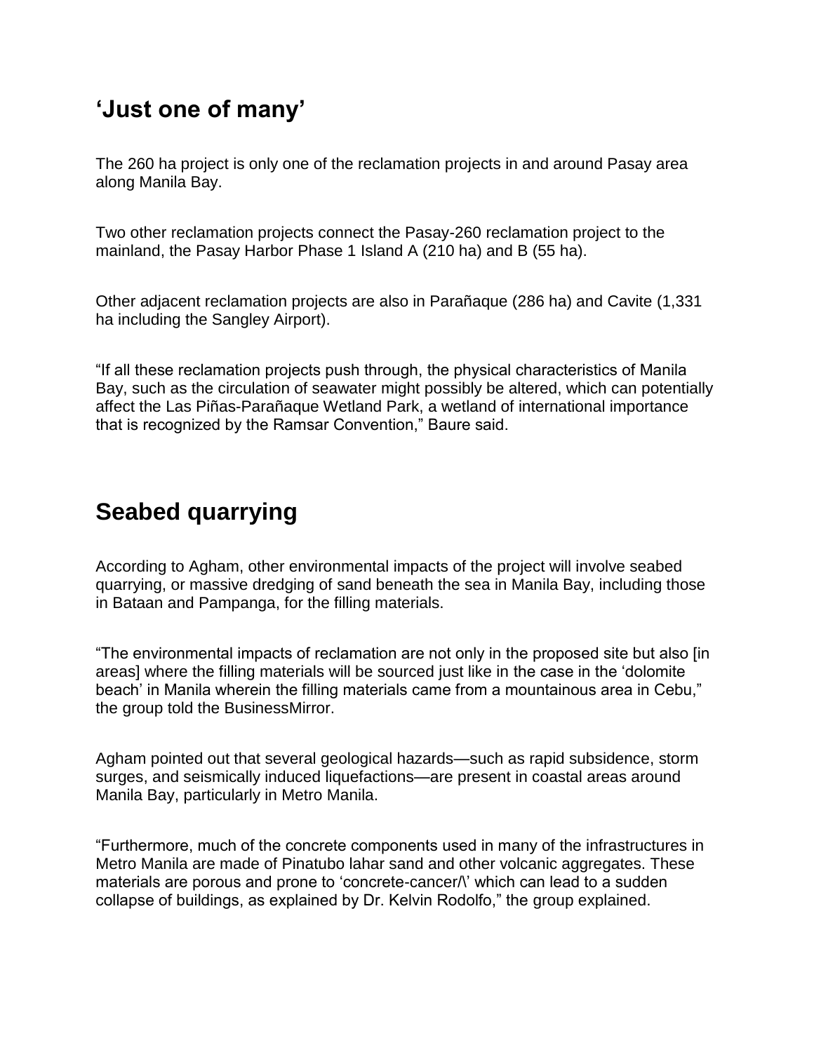# **'Just one of many'**

The 260 ha project is only one of the reclamation projects in and around Pasay area along Manila Bay.

Two other reclamation projects connect the Pasay-260 reclamation project to the mainland, the Pasay Harbor Phase 1 Island A (210 ha) and B (55 ha).

Other adjacent reclamation projects are also in Parañaque (286 ha) and Cavite (1,331 ha including the Sangley Airport).

"If all these reclamation projects push through, the physical characteristics of Manila Bay, such as the circulation of seawater might possibly be altered, which can potentially affect the Las Piñas-Parañaque Wetland Park, a wetland of international importance that is recognized by the Ramsar Convention," Baure said.

# **Seabed quarrying**

According to Agham, other environmental impacts of the project will involve seabed quarrying, or massive dredging of sand beneath the sea in Manila Bay, including those in Bataan and Pampanga, for the filling materials.

"The environmental impacts of reclamation are not only in the proposed site but also [in areas] where the filling materials will be sourced just like in the case in the "dolomite beach' in Manila wherein the filling materials came from a mountainous area in Cebu," the group told the BusinessMirror.

Agham pointed out that several geological hazards—such as rapid subsidence, storm surges, and seismically induced liquefactions—are present in coastal areas around Manila Bay, particularly in Metro Manila.

"Furthermore, much of the concrete components used in many of the infrastructures in Metro Manila are made of Pinatubo lahar sand and other volcanic aggregates. These materials are porous and prone to 'concrete-cancer $\wedge$ ' which can lead to a sudden collapse of buildings, as explained by Dr. Kelvin Rodolfo," the group explained.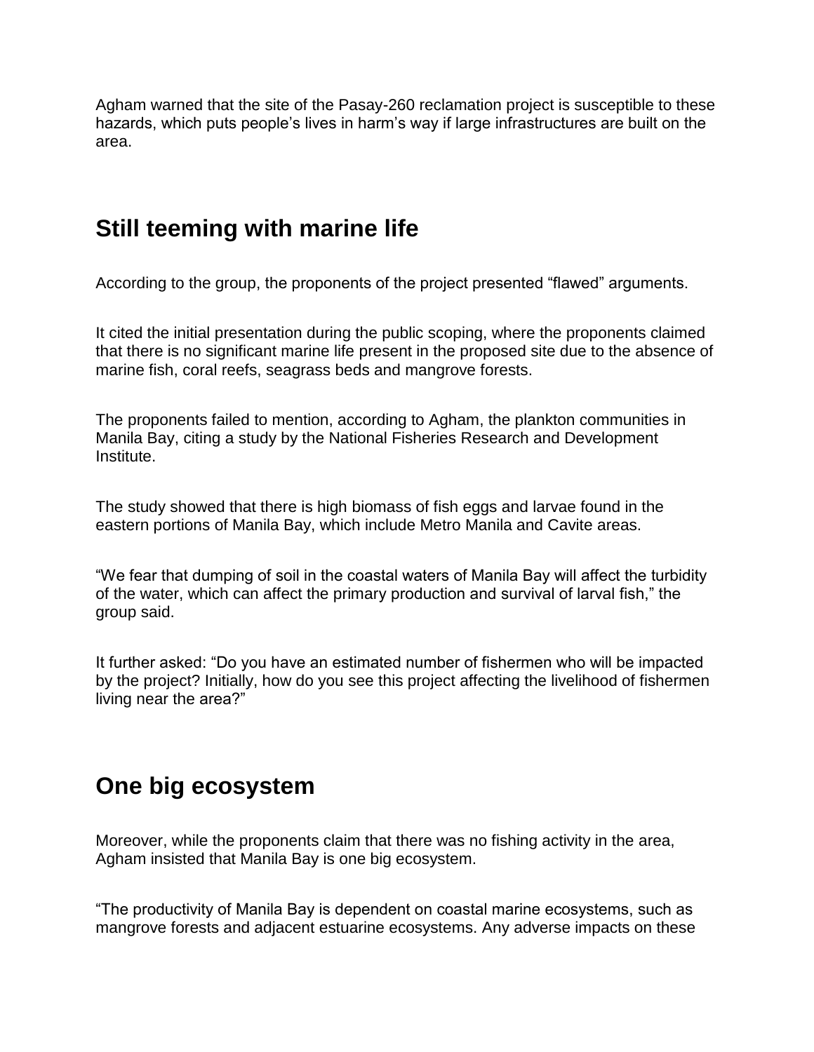Agham warned that the site of the Pasay-260 reclamation project is susceptible to these hazards, which puts people's lives in harm's way if large infrastructures are built on the area.

### **Still teeming with marine life**

According to the group, the proponents of the project presented "flawed" arguments.

It cited the initial presentation during the public scoping, where the proponents claimed that there is no significant marine life present in the proposed site due to the absence of marine fish, coral reefs, seagrass beds and mangrove forests.

The proponents failed to mention, according to Agham, the plankton communities in Manila Bay, citing a study by the National Fisheries Research and Development Institute.

The study showed that there is high biomass of fish eggs and larvae found in the eastern portions of Manila Bay, which include Metro Manila and Cavite areas.

"We fear that dumping of soil in the coastal waters of Manila Bay will affect the turbidity of the water, which can affect the primary production and survival of larval fish," the group said.

It further asked: "Do you have an estimated number of fishermen who will be impacted by the project? Initially, how do you see this project affecting the livelihood of fishermen living near the area?"

# **One big ecosystem**

Moreover, while the proponents claim that there was no fishing activity in the area, Agham insisted that Manila Bay is one big ecosystem.

"The productivity of Manila Bay is dependent on coastal marine ecosystems, such as mangrove forests and adjacent estuarine ecosystems. Any adverse impacts on these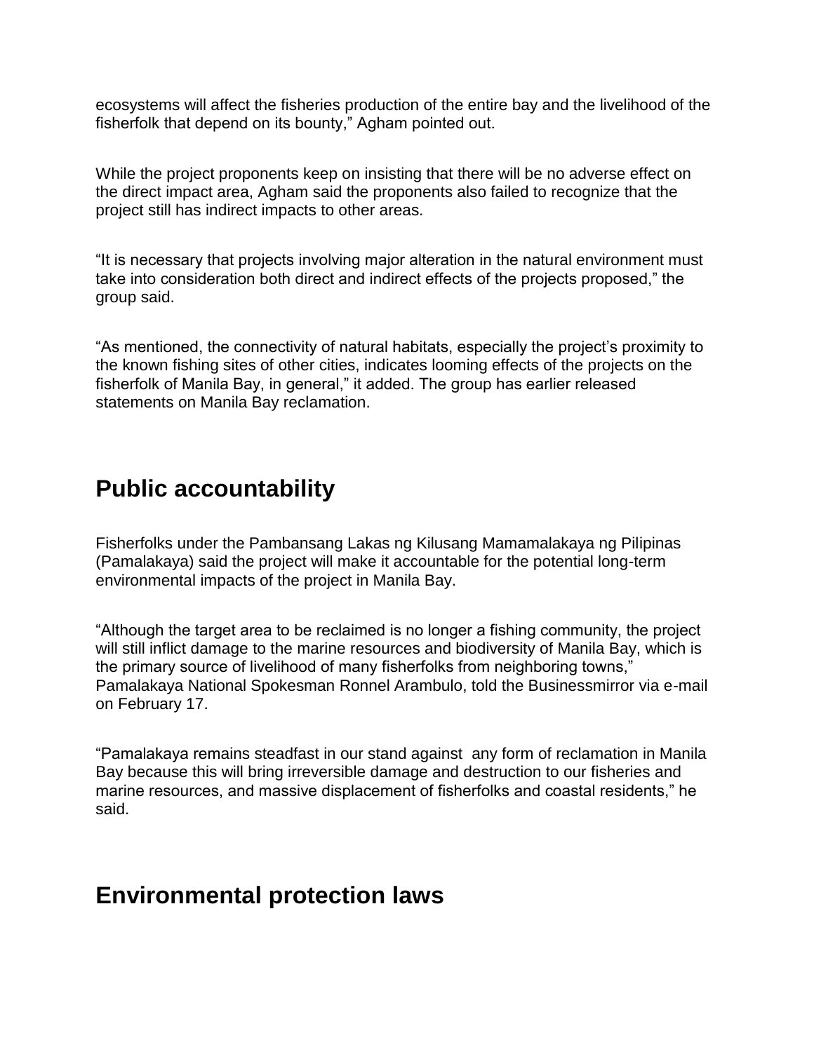ecosystems will affect the fisheries production of the entire bay and the livelihood of the fisherfolk that depend on its bounty," Agham pointed out.

While the project proponents keep on insisting that there will be no adverse effect on the direct impact area, Agham said the proponents also failed to recognize that the project still has indirect impacts to other areas.

"It is necessary that projects involving major alteration in the natural environment must take into consideration both direct and indirect effects of the projects proposed," the group said.

"As mentioned, the connectivity of natural habitats, especially the project"s proximity to the known fishing sites of other cities, indicates looming effects of the projects on the fisherfolk of Manila Bay, in general," it added. The group has earlier released statements on Manila Bay reclamation.

#### **Public accountability**

Fisherfolks under the Pambansang Lakas ng Kilusang Mamamalakaya ng Pilipinas (Pamalakaya) said the project will make it accountable for the potential long-term environmental impacts of the project in Manila Bay.

"Although the target area to be reclaimed is no longer a fishing community, the project will still inflict damage to the marine resources and biodiversity of Manila Bay, which is the primary source of livelihood of many fisherfolks from neighboring towns," Pamalakaya National Spokesman Ronnel Arambulo, told the Businessmirror via e-mail on February 17.

"Pamalakaya remains steadfast in our stand against any form of reclamation in Manila Bay because this will bring irreversible damage and destruction to our fisheries and marine resources, and massive displacement of fisherfolks and coastal residents," he said.

#### **Environmental protection laws**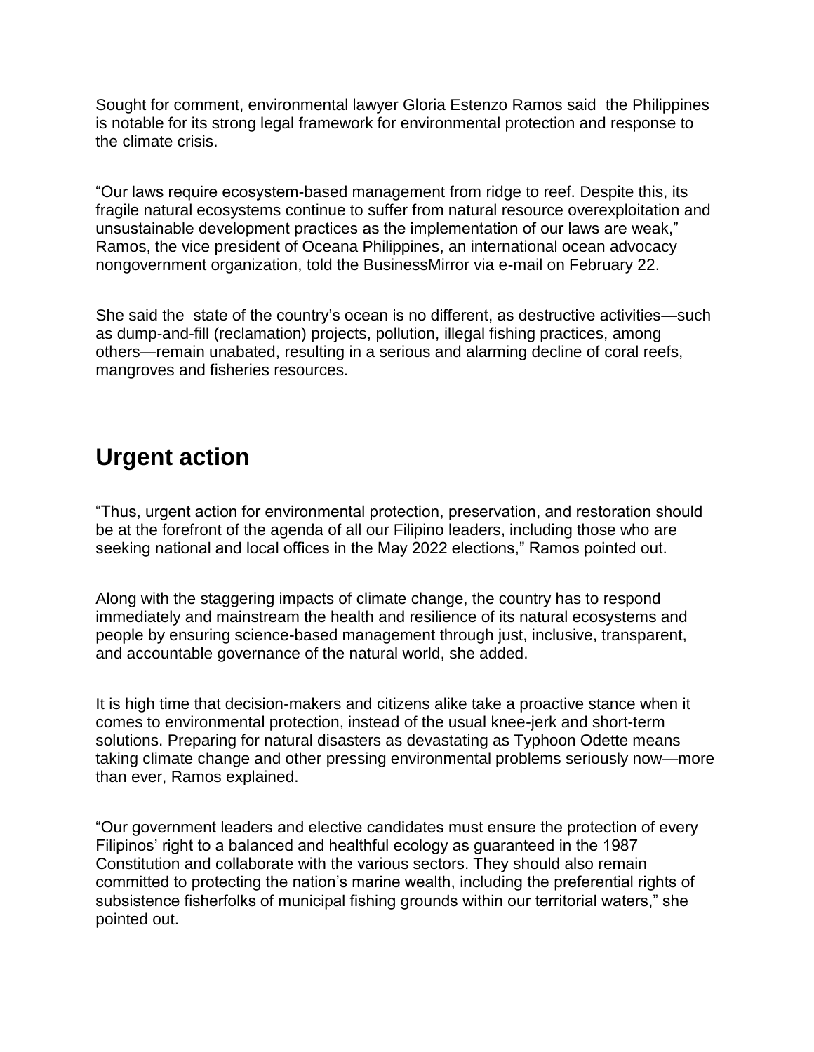Sought for comment, environmental lawyer Gloria Estenzo Ramos said the Philippines is notable for its strong legal framework for environmental protection and response to the climate crisis.

"Our laws require ecosystem-based management from ridge to reef. Despite this, its fragile natural ecosystems continue to suffer from natural resource overexploitation and unsustainable development practices as the implementation of our laws are weak," Ramos, the vice president of Oceana Philippines, an international ocean advocacy nongovernment organization, told the BusinessMirror via e-mail on February 22.

She said the state of the country"s ocean is no different, as destructive activities—such as dump-and-fill (reclamation) projects, pollution, illegal fishing practices, among others—remain unabated, resulting in a serious and alarming decline of coral reefs, mangroves and fisheries resources.

### **Urgent action**

"Thus, urgent action for environmental protection, preservation, and restoration should be at the forefront of the agenda of all our Filipino leaders, including those who are seeking national and local offices in the May 2022 elections," Ramos pointed out.

Along with the staggering impacts of climate change, the country has to respond immediately and mainstream the health and resilience of its natural ecosystems and people by ensuring science-based management through just, inclusive, transparent, and accountable governance of the natural world, she added.

It is high time that decision-makers and citizens alike take a proactive stance when it comes to environmental protection, instead of the usual knee-jerk and short-term solutions. Preparing for natural disasters as devastating as Typhoon Odette means taking climate change and other pressing environmental problems seriously now—more than ever, Ramos explained.

"Our government leaders and elective candidates must ensure the protection of every Filipinos' right to a balanced and healthful ecology as guaranteed in the 1987 Constitution and collaborate with the various sectors. They should also remain committed to protecting the nation"s marine wealth, including the preferential rights of subsistence fisherfolks of municipal fishing grounds within our territorial waters," she pointed out.